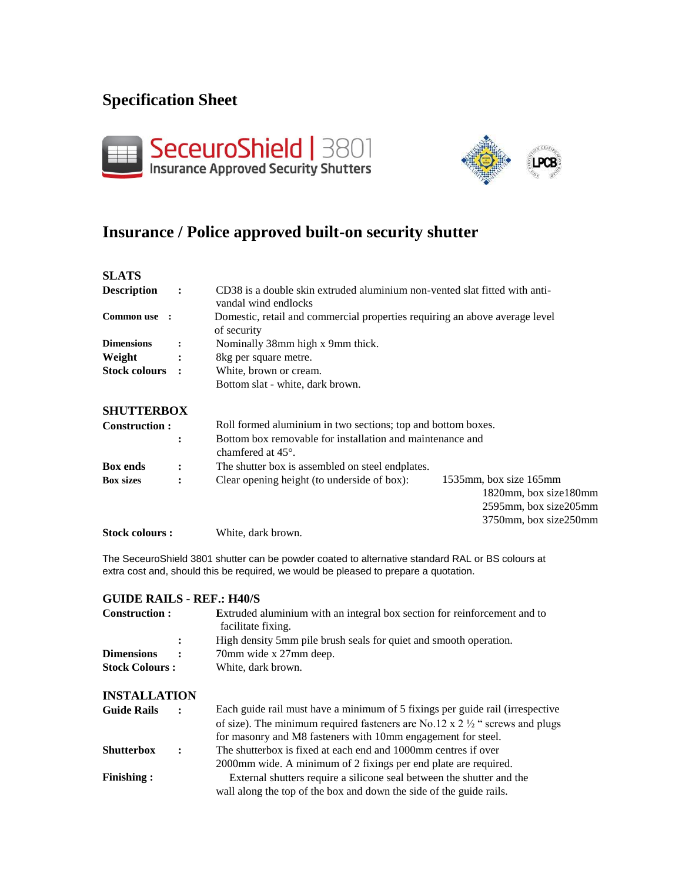# **Specification Sheet**





# **Insurance / Police approved built-on security shutter**

| <b>SLATS</b>           |                |                                                                                                    |                                                                                                          |  |  |
|------------------------|----------------|----------------------------------------------------------------------------------------------------|----------------------------------------------------------------------------------------------------------|--|--|
| <b>Description</b>     | $\cdot$        | CD38 is a double skin extruded aluminium non-vented slat fitted with anti-<br>vandal wind endlocks |                                                                                                          |  |  |
| Common use :           |                | Domestic, retail and commercial properties requiring an above average level<br>of security         |                                                                                                          |  |  |
| <b>Dimensions</b>      | $\ddot{\cdot}$ | Nominally 38mm high x 9mm thick.                                                                   |                                                                                                          |  |  |
| Weight                 |                | 8kg per square metre.                                                                              |                                                                                                          |  |  |
| <b>Stock colours :</b> |                | White, brown or cream.                                                                             |                                                                                                          |  |  |
|                        |                | Bottom slat - white, dark brown.                                                                   |                                                                                                          |  |  |
| <b>SHUTTERBOX</b>      |                |                                                                                                    |                                                                                                          |  |  |
| <b>Construction:</b>   |                | Roll formed aluminium in two sections; top and bottom boxes.                                       |                                                                                                          |  |  |
|                        | $\ddot{\cdot}$ | Bottom box removable for installation and maintenance and<br>chamfered at $45^\circ$ .             |                                                                                                          |  |  |
| <b>Box ends</b>        | $\ddot{\cdot}$ | The shutter box is assembled on steel endplates.                                                   |                                                                                                          |  |  |
| <b>Box sizes</b>       |                | Clear opening height (to underside of box):                                                        | 1535mm, box size 165mm<br>1820mm, box size180mm<br>$2595$ mm, box size $205$ mm<br>3750mm, box size250mm |  |  |
| <b>Stock colours:</b>  |                | White, dark brown.                                                                                 |                                                                                                          |  |  |

The SeceuroShield 3801 shutter can be powder coated to alternative standard RAL or BS colours at extra cost and, should this be required, we would be pleased to prepare a quotation.

### **GUIDE RAILS - REF.: H40/S**

| Construction :                             |                   | <b>Extruded aluminium with an integral box section for reinforcement and to</b><br>facilitate fixing. |  |
|--------------------------------------------|-------------------|-------------------------------------------------------------------------------------------------------|--|
|                                            | $\mathbf{L}$      | High density 5mm pile brush seals for quiet and smooth operation.                                     |  |
| <b>Dimensions</b><br><b>Stock Colours:</b> | $\sim$ 100 $\sim$ | 70mm wide x 27mm deep.<br>White, dark brown.                                                          |  |

#### **INSTALLATION**

| <b>Guide Rails</b> | $\sim$ 1.000 $\sim$ | Each guide rail must have a minimum of 5 fixings per guide rail (irrespective          |  |
|--------------------|---------------------|----------------------------------------------------------------------------------------|--|
|                    |                     | of size). The minimum required fasteners are No.12 x $2\frac{1}{2}$ " screws and plugs |  |
|                    |                     | for masonry and M8 fasteners with 10mm engagement for steel.                           |  |
| <b>Shutterbox</b>  | $\mathbf{r}$        | The shutterbox is fixed at each end and 1000mm centres if over                         |  |
|                    |                     | 2000 nm wide. A minimum of 2 fixings per end plate are required.                       |  |
| <b>Finishing:</b>  |                     | External shutters require a silicone seal between the shutter and the                  |  |
|                    |                     | wall along the top of the box and down the side of the guide rails.                    |  |